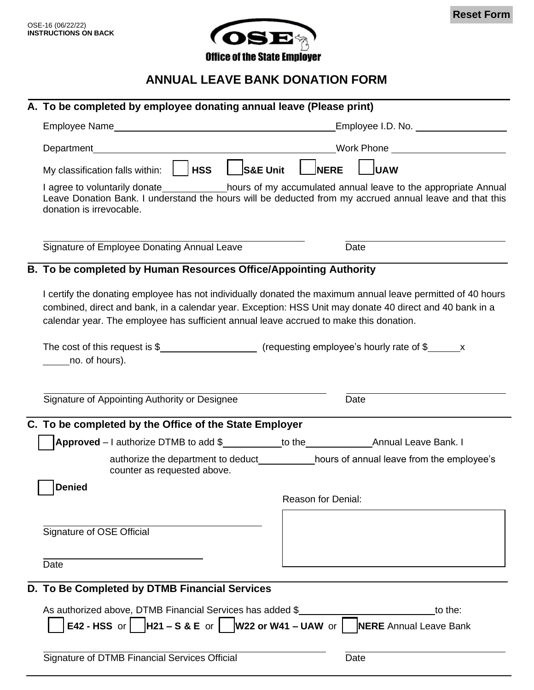

## **ANNUAL LEAVE BANK DONATION FORM**

| A. To be completed by employee donating annual leave (Please print)                                                                                                                                                                                                                                                                 |                    |      |  |
|-------------------------------------------------------------------------------------------------------------------------------------------------------------------------------------------------------------------------------------------------------------------------------------------------------------------------------------|--------------------|------|--|
|                                                                                                                                                                                                                                                                                                                                     |                    |      |  |
| Work Phone New York Discovery Management Control Control Control Control Control Control Control Control Control Control Control Control Control Control Control Control Control Control Control Control Control Control Contr                                                                                                      |                    |      |  |
| S&E UnitL<br>My classification falls within: $\parallel$ <b>  HSS</b>                                                                                                                                                                                                                                                               | <b>NERE</b>        | luaw |  |
| I agree to voluntarily donate____________hours of my accumulated annual leave to the appropriate Annual<br>Leave Donation Bank. I understand the hours will be deducted from my accrued annual leave and that this<br>donation is irrevocable.                                                                                      |                    |      |  |
| Signature of Employee Donating Annual Leave                                                                                                                                                                                                                                                                                         | Date               |      |  |
| B. To be completed by Human Resources Office/Appointing Authority                                                                                                                                                                                                                                                                   |                    |      |  |
| I certify the donating employee has not individually donated the maximum annual leave permitted of 40 hours<br>combined, direct and bank, in a calendar year. Exception: HSS Unit may donate 40 direct and 40 bank in a<br>calendar year. The employee has sufficient annual leave accrued to make this donation.<br>no. of hours). |                    |      |  |
| Signature of Appointing Authority or Designee<br>Date                                                                                                                                                                                                                                                                               |                    |      |  |
| C. To be completed by the Office of the State Employer                                                                                                                                                                                                                                                                              |                    |      |  |
| authorize the department to deduct_____________hours of annual leave from the employee's<br>counter as requested above.                                                                                                                                                                                                             |                    |      |  |
| Denied                                                                                                                                                                                                                                                                                                                              | Reason for Denial: |      |  |
| Signature of OSE Official                                                                                                                                                                                                                                                                                                           |                    |      |  |
| Date                                                                                                                                                                                                                                                                                                                                |                    |      |  |
| D. To Be Completed by DTMB Financial Services                                                                                                                                                                                                                                                                                       |                    |      |  |
| As authorized above, DTMB Financial Services has added \$<br>to the:<br>E42 - HSS or $\vert$  H21 – S & E or $\vert$  W22 or W41 – UAW or $\vert$  NERE Annual Leave Bank                                                                                                                                                           |                    |      |  |
| Signature of DTMB Financial Services Official<br>Date                                                                                                                                                                                                                                                                               |                    |      |  |